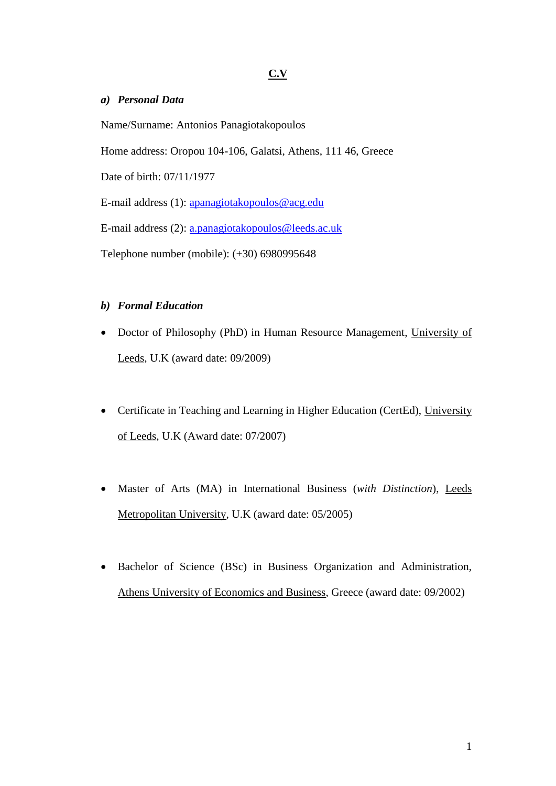### **C.V**

### *a) Personal Data*

Name/Surname: Antonios Panagiotakopoulos Home address: Oropou 104-106, Galatsi, Athens, 111 46, Greece Date of birth: 07/11/1977 E-mail address (1): [apanagiotakopoulos@acg.edu](mailto:apanagiotakopoulos@acg.edu) E-mail address (2): [a.panagiotakopoulos@leeds.ac.uk](mailto:a.panagiotakopoulos@leeds.ac.uk) Telephone number (mobile): (+30) 6980995648

## *b) Formal Education*

- Doctor of Philosophy (PhD) in Human Resource Management, University of Leeds, U.K (award date: 09/2009)
- Certificate in Teaching and Learning in Higher Education (CertEd), University of Leeds, U.K (Award date: 07/2007)
- Master of Arts (MA) in International Business (*with Distinction*), Leeds Metropolitan University, U.K (award date: 05/2005)
- Bachelor of Science (BSc) in Business Organization and Administration, Athens University of Economics and Business, Greece (award date: 09/2002)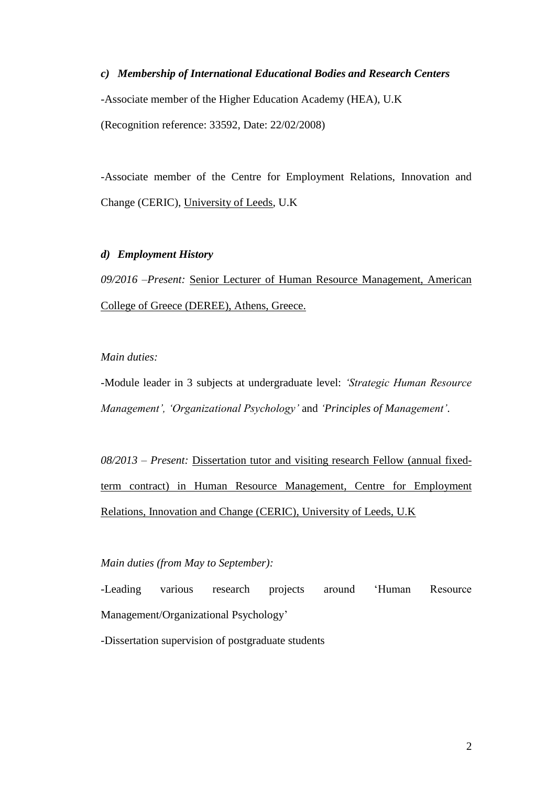*c) Membership of International Educational Bodies and Research Centers* -Associate member of the Higher Education Academy (HEA), U.K (Recognition reference: 33592, Date: 22/02/2008)

-Associate member of the Centre for Employment Relations, Innovation and Change (CERIC), University of Leeds, U.K

#### *d) Employment History*

*09/2016 –Present:* Senior Lecturer of Human Resource Management, American College of Greece (DEREE), Athens, Greece.

### *Main duties:*

-Module leader in 3 subjects at undergraduate level: *'Strategic Human Resource Management', 'Organizational Psychology'* and *'Principles of Management'*.

*08/2013 – Present:* Dissertation tutor and visiting research Fellow (annual fixedterm contract) in Human Resource Management, Centre for Employment Relations, Innovation and Change (CERIC), University of Leeds, U.K

#### *Main duties (from May to September):*

-Leading various research projects around 'Human Resource Management/Organizational Psychology'

-Dissertation supervision of postgraduate students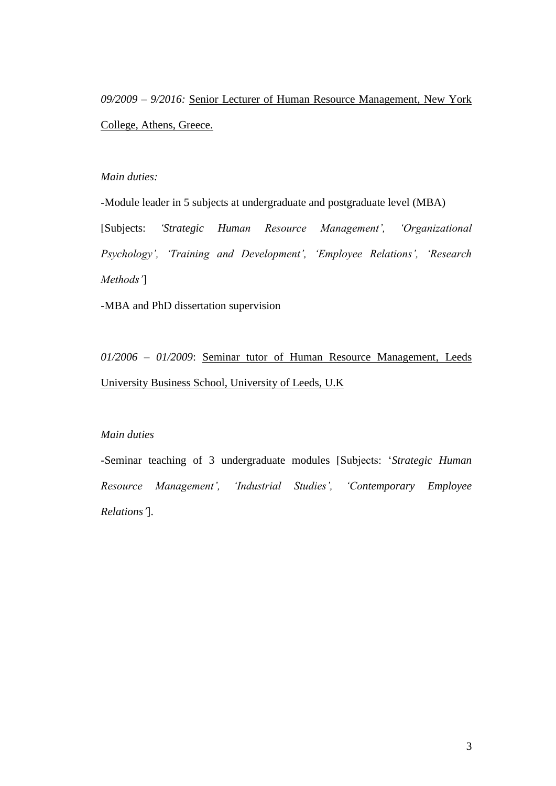*09/2009 – 9/2016:* Senior Lecturer of Human Resource Management, New York College, Athens, Greece.

### *Main duties:*

-Module leader in 5 subjects at undergraduate and postgraduate level (MBA) [Subjects: *'Strategic Human Resource Management', 'Organizational Psychology', 'Training and Development', 'Employee Relations', 'Research Methods'*]

-MBA and PhD dissertation supervision

*01/2006 – 01/2009*: Seminar tutor of Human Resource Management, Leeds University Business School, University of Leeds, U.K

## *Main duties*

-Seminar teaching of 3 undergraduate modules [Subjects: '*Strategic Human Resource Management', 'Industrial Studies', 'Contemporary Employee Relations'*].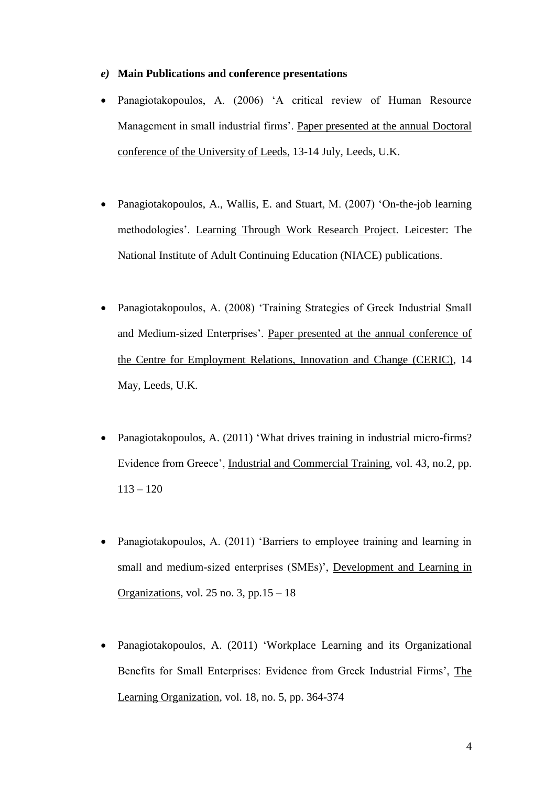#### *e)* **Main Publications and conference presentations**

- Panagiotakopoulos, A. (2006) 'A critical review of Human Resource Management in small industrial firms'. Paper presented at the annual Doctoral conference of the University of Leeds, 13-14 July, Leeds, U.K.
- Panagiotakopoulos, A., Wallis, E. and Stuart, M. (2007) 'On-the-job learning methodologies'. Learning Through Work Research Project. Leicester: The National Institute of Adult Continuing Education (NIACE) publications.
- Panagiotakopoulos, A. (2008) 'Training Strategies of Greek Industrial Small and Medium-sized Enterprises'. Paper presented at the annual conference of the Centre for Employment Relations, Innovation and Change (CERIC), 14 May, Leeds, U.K.
- Panagiotakopoulos, A. (2011) 'What drives training in industrial micro-firms? Evidence from Greece', Industrial and Commercial Training, vol. 43, no.2, pp.  $113 - 120$
- Panagiotakopoulos, A. (2011) 'Barriers to employee training and learning in small and medium-sized enterprises (SMEs)', Development and Learning in Organizations, vol. 25 no. 3, pp.  $15 - 18$
- Panagiotakopoulos, A. (2011) 'Workplace Learning and its Organizational Benefits for Small Enterprises: Evidence from Greek Industrial Firms', The Learning Organization, vol. 18, no. 5, pp. 364-374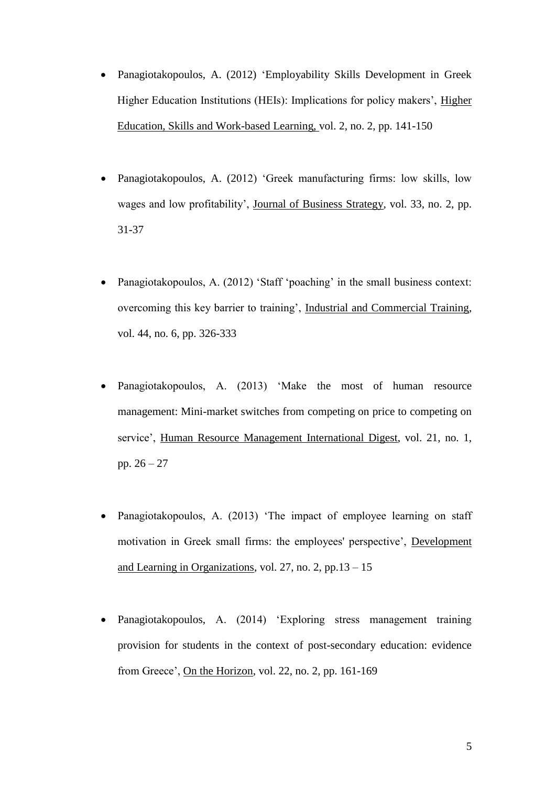- Panagiotakopoulos, A. (2012) 'Employability Skills Development in Greek Higher Education Institutions (HEIs): Implications for policy makers', Higher Education, Skills and Work-based Learning, vol. 2, no. 2, pp. 141-150
- Panagiotakopoulos, A. (2012) 'Greek manufacturing firms: low skills, low wages and low profitability', Journal of Business Strategy, vol. 33, no. 2, pp. 31-37
- Panagiotakopoulos, A. (2012) 'Staff 'poaching' in the small business context: overcoming this key barrier to training', Industrial and Commercial Training, vol. 44, no. 6, pp. 326-333
- Panagiotakopoulos, A. (2013) 'Make the most of human resource management: Mini-market switches from competing on price to competing on service', Human Resource Management International Digest, vol. 21, no. 1, pp. 26 – 27
- Panagiotakopoulos, A. (2013) 'The impact of employee learning on staff motivation in Greek small firms: the employees' perspective', Development and Learning in Organizations, vol. 27, no. 2, pp.  $13 - 15$
- Panagiotakopoulos, A. (2014) 'Exploring stress management training provision for students in the context of post-secondary education: evidence from Greece', On the Horizon, vol. 22, no. 2, pp. 161-169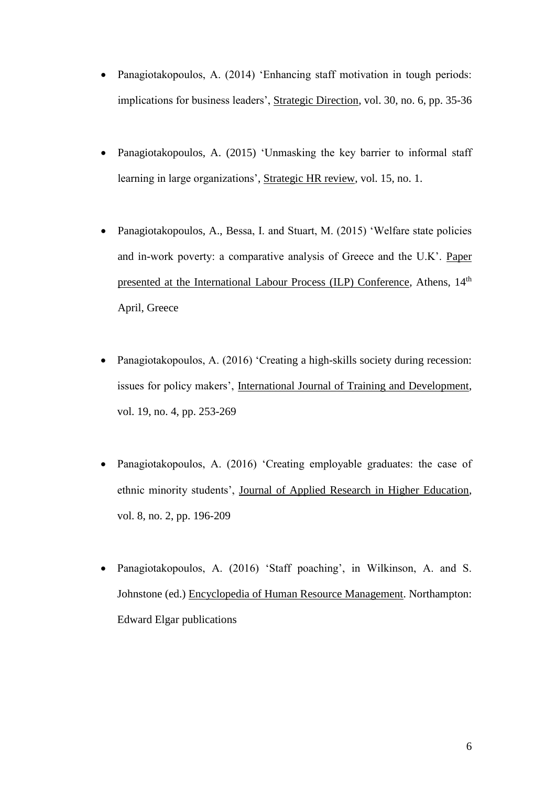- Panagiotakopoulos, A. (2014) 'Enhancing staff motivation in tough periods: implications for business leaders', Strategic Direction, vol. 30, no. 6, pp. 35-36
- Panagiotakopoulos, A. (2015) 'Unmasking the key barrier to informal staff learning in large organizations', Strategic HR review, vol. 15, no. 1.
- Panagiotakopoulos, A., Bessa, I. and Stuart, M. (2015) 'Welfare state policies and in-work poverty: a comparative analysis of Greece and the U.K'. Paper presented at the International Labour Process (ILP) Conference, Athens, 14<sup>th</sup> April, Greece
- Panagiotakopoulos, A. (2016) 'Creating a high-skills society during recession: issues for policy makers', International Journal of Training and Development, vol. 19, no. 4, pp. 253-269
- Panagiotakopoulos, A. (2016) 'Creating employable graduates: the case of ethnic minority students', Journal of Applied Research in Higher Education, vol. 8, no. 2, pp. 196-209
- Panagiotakopoulos, A. (2016) 'Staff poaching', in Wilkinson, A. and S. Johnstone (ed.) Encyclopedia of Human Resource Management. Northampton: Edward Elgar publications